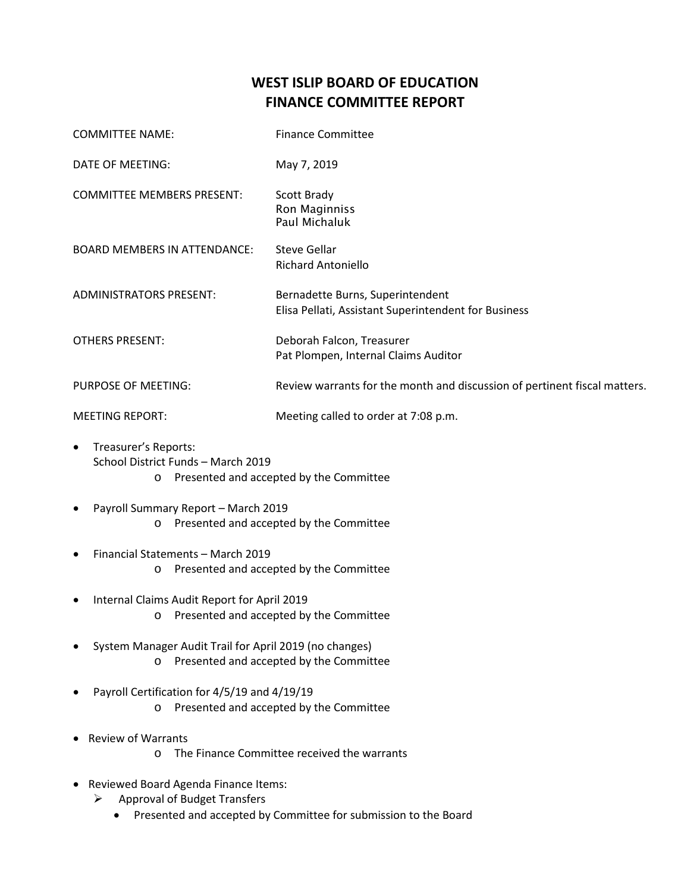## **WEST ISLIP BOARD OF EDUCATION FINANCE COMMITTEE REPORT**

| <b>COMMITTEE NAME:</b>              | <b>Finance Committee</b>                                                                 |
|-------------------------------------|------------------------------------------------------------------------------------------|
| DATE OF MEETING:                    | May 7, 2019                                                                              |
| <b>COMMITTEE MEMBERS PRESENT:</b>   | Scott Brady<br>Ron Maginniss<br>Paul Michaluk                                            |
| <b>BOARD MEMBERS IN ATTENDANCE:</b> | Steve Gellar<br><b>Richard Antoniello</b>                                                |
| <b>ADMINISTRATORS PRESENT:</b>      | Bernadette Burns, Superintendent<br>Elisa Pellati, Assistant Superintendent for Business |
| <b>OTHERS PRESENT:</b>              | Deborah Falcon, Treasurer<br>Pat Plompen, Internal Claims Auditor                        |
| PURPOSE OF MEETING:                 | Review warrants for the month and discussion of pertinent fiscal matters.                |
| <b>MEETING REPORT:</b>              | Meeting called to order at 7:08 p.m.                                                     |

- Treasurer's Reports: School District Funds – March 2019 o Presented and accepted by the Committee
- Payroll Summary Report March 2019 o Presented and accepted by the Committee
- Financial Statements March 2019 o Presented and accepted by the Committee
- Internal Claims Audit Report for April 2019 o Presented and accepted by the Committee
- System Manager Audit Trail for April 2019 (no changes) o Presented and accepted by the Committee
- Payroll Certification for 4/5/19 and 4/19/19 o Presented and accepted by the Committee
- Review of Warrants
	- o The Finance Committee received the warrants
- Reviewed Board Agenda Finance Items:
	- Approval of Budget Transfers
		- Presented and accepted by Committee for submission to the Board